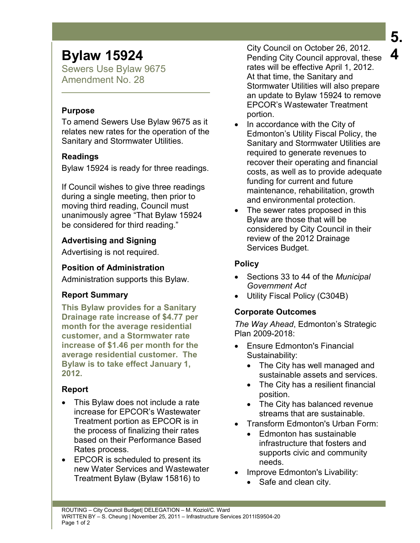# **Bylaw 15924**

Sewers Use Bylaw 9675 Amendment No. 28

### **Purpose**

To amend Sewers Use Bylaw 9675 as it relates new rates for the operation of the Sanitary and Stormwater Utilities.

### **Readings**

Bylaw 15924 is ready for three readings.

If Council wishes to give three readings during a single meeting, then prior to moving third reading, Council must unanimously agree "That Bylaw 15924 be considered for third reading."

## **Advertising and Signing**

Advertising is not required.

### **Position of Administration**

Administration supports this Bylaw.

### **Report Summary**

**This Bylaw provides for a Sanitary Drainage rate increase of \$4.77 per month for the average residential customer, and a Stormwater rate increase of \$1.46 per month for the average residential customer. The Bylaw is to take effect January 1, 2012.** 

### **Report**

- This Bylaw does not include a rate increase for EPCOR's Wastewater Treatment portion as EPCOR is in the process of finalizing their rates based on their Performance Based Rates process.
- EPCOR is scheduled to present its new Water Services and Wastewater Treatment Bylaw (Bylaw 15816) to

City Council on October 26, 2012. Pending City Council approval, these rates will be effective April 1, 2012. At that time, the Sanitary and Stormwater Utilities will also prepare an update to Bylaw 15924 to remove EPCOR's Wastewater Treatment portion.

- In accordance with the City of Edmonton's Utility Fiscal Policy, the Sanitary and Stormwater Utilities are required to generate revenues to recover their operating and financial costs, as well as to provide adequate funding for current and future maintenance, rehabilitation, growth and environmental protection.
- The sewer rates proposed in this Bylaw are those that will be considered by City Council in their review of the 2012 Drainage Services Budget.

## **Policy**

- Sections 33 to 44 of the *Municipal Government Act*
- Utility Fiscal Policy (C304B)

## **Corporate Outcomes**

*The Way Ahead*, Edmonton's Strategic Plan 2009-2018:

- Ensure Edmonton's Financial Sustainability:
	- The City has well managed and sustainable assets and services.
	- The City has a resilient financial position.
	- The City has balanced revenue streams that are sustainable.
- Transform Edmonton's Urban Form:
	- Edmonton has sustainable infrastructure that fosters and supports civic and community needs.
- Improve Edmonton's Livability:
	- Safe and clean city.